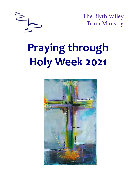

The Blyth Valley Team Ministry

# **Praying through Holy Week 2021**

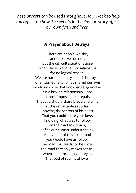*These prayers can be used throughout Holy Week to help you reflect on how the events in the Passion story affect our own faith and lives.*

## **A Prayer about Betrayal**

There are people we like, and those we do not, but the difficult situations arise when those we love turn against us for no logical reason. We are hurt and angry at such betrayal, when someone who has shared our lives should now use that knowledge against us. It is a broken relationship, Lord, almost impossible to repair. That you should share bread and wine at the same table as Judas, knowing the secrets of his heart. That you could share your love, knowing what was to follow on the road to Calvary, defies our human understanding. And yet, Lord this is the road you would have us follow, the road that leads to the cross, the road that only makes sense , when seen through your eyes. The road of sacrificial love .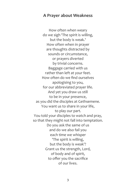#### **A Prayer about Weakness**

How often when weary do we sigh 'The spirit is willing, but the body is weak.' How often when in prayer are thoughts distracted by sounds or circumstance, or prayers diverted by trivial concerns. Baggage carried with us rather than left at your feet. How often do we find ourselves apologising to you, for our abbreviated prayer life. And yet you draw us still to be in your presence, as you did the disciples at Gethsemene. You want us to share in your life, to play our part. You told your disciples to watch and pray, so that they might not fall into temptation. Do you ask the same of us and do we also fail you each time we whisper 'The spirit is willing, but the body is weak'? Grant us the strength, Lord, of body and of spirit, to offer you the sacrifice of our lives.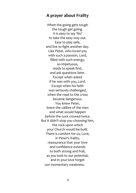## **A prayer about Frailty**

When the going gets tough the tough get going. It is easy to say 'No' to take the easy way out. Easy to play safe, and live to fight another day. Like Peter, who loved you with such a passion, Lord, filled with such energy, so impetuous, ready to speak first, and ask questions later. Except when asked if he was with you, Lord. Except when his faith was seriously challenged, when the road to the cross became dangerous. You knew Peter, knew the calibre of the man and what would happen before the cock crowed twice. But it didn't stop you choosing him, the rock upon which your Church would be built. There is comfort for us, Lord, in Peter's frailty, reassurance that your love and confidence extends to both strong and frail, as you look to our potential, and in your love forget our momentary weakness.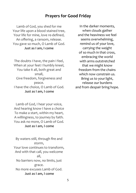## **Prayers for Good Friday**

Lamb of God, you shed for me Your life upon a blood stained tree, Your life for mine, love re-defined, An offering, a ransom, release. You gave so much, O Lamb of God. **Just as I am, I come**

The doubts I have, the pain I feel, When at your feet I humbly kneel, You take it all, both great and small, Give freedom, forgiveness and peace. I have the choice, O Lamb of God. **Just as I am, I come**

Lamb of God, I hear your voice, And hearing know I have a choice To make a start, within my heart, A willingness, to journey by faith. You ask no more, O Lamb of God. **Just as I am, I come**

By waters still, through fire and storm, Your love continues to transform, And with that call, you welcome all, No barriers now, no limits, just grace. No more excuses Lamb of God. **Just as I am, I come**

In the darker moments, when clouds gather and the heaviness we feel seems overwhelming, remind us of your love, carrying the weight of so much in that cross, embracing the world with arms outstretched that we might know freedom from the chains which now constrain us. Bring us to your light, release our burdens and from despair bring hope.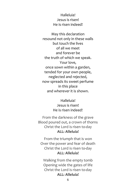Halleluia! Jesus is risen! He is risen indeed!

May this declaration resound not only in these walls but touch the lives of all we meet and forever be the truth of which we speak. Your love, once sown within a garden, tended for your own people, neglected and rejected, now spreads its sweet perfume in this place and wherever it is shown.

> Halleluia! Jesus is risen! He is risen indeed!

From the darkness of the grave Blood poured out, a crown of thorns Christ the Lord is risen to-day **ALL: Alleluia!**

From the triumph that is won Over the power and fear of death Christ the Lord is risen to-day **ALL: Alleluia!**

Walking from the empty tomb Opening wide the gates of life Christ the Lord is risen to-day **ALL: Alleluia!**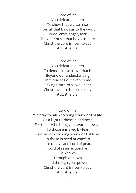Lord of life You defeated death To show that we can rise From all that binds us to the world Pride, envy, anger, fear The debt of sin that holds us here Christ the Lord is risen to-day **ALL: Alleluia!**

Lord of life You defeated death To demonstrate a love that is Beyond our understanding That reaches out even to me Saving Grace to all who hear Christ the Lord is risen to-day **ALL: Alleluia!**

Lord of life We pray for all who bring your word of life As a light to those in darkness For those who bring your word of peace To those enslaved by fear For those who bring your word of love To those in need of comfort Lord of love and Lord of peace Lord of resurrection life Be known Through our lives and through your power Christ the Lord is risen to-day **ALL: Alleluia!**